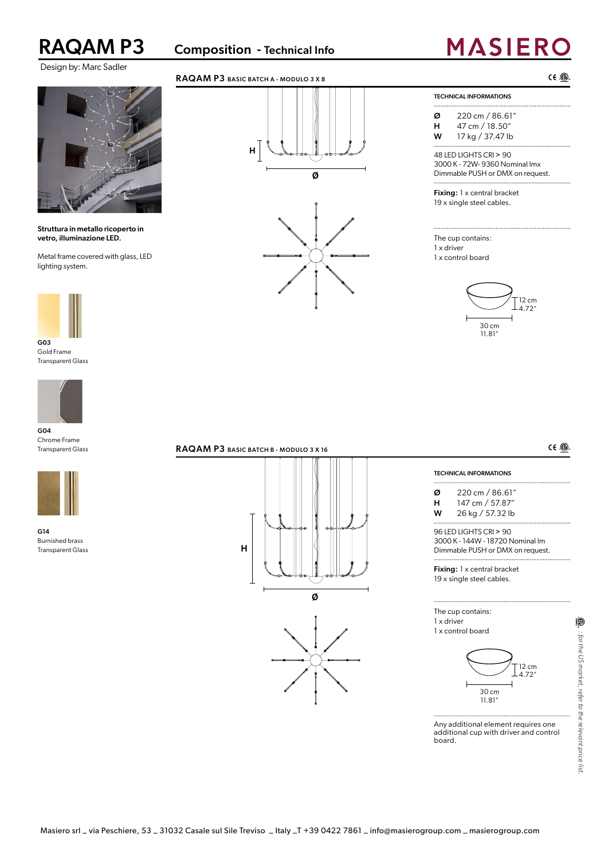RAQAM P3 Composition - Technical Info

## Design by: Marc Sadler



## Struttura in metallo ricoperto in vetro, illuminazione LED.

Metal frame covered with glass, LED lighting system.



Gold Frame Transparent Glass



G04 Chrome Frame Transparent Glass



G14 Burnished brass Transparent Glass



## RAQAM P3 BASIC BATCH A - MODULO 3 X 8



# **MASIERO**

 $CE$   $D$ .

TECHNICAL INFORMATIONS

Ø 220 cm / 86.61" H 47 cm / 18.50"

W 17 kg / 37.47 lb

48 LED LIGHTS CRI > 90 3000 K - 72W- 9360 Nominal lmx Dimmable PUSH or DMX on request.

Fixing: 1 x central bracket 19 x single steel cables.

The cup contains: 1 x driver 1 x control board

 $\cdots$ 





 $C \in \mathbb{Q}$ 

## RAQAM P3 BASIC BATCH B - MODULO 3 X 16

# **Ø H**

## TECHNICAL INFORMATIONS

 $\cdots$ Ø 220 cm / 86.61" H 147 cm / 57.87" W 26 kg / 57.32 lb

96 LED LIGHTS CRI > 90 3000 K - 144W - 18720 Nominal lm Dimmable PUSH or DMX on request.

Fixing: 1 x central bracket 19 x single steel cables.

## The cup contains: 1 x driver

1 x control board



Any additional element requires one additional cup with driver and control board.